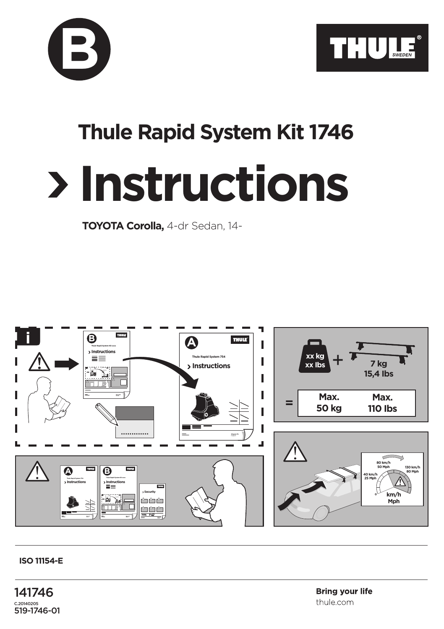



## **Thule Rapid System Kit 1746**

## **Instructions**

**TOYOTA Corolla,** 4-dr Sedan, 14-



## **ISO 11154-E**

141746 C.20140205 519-1746-01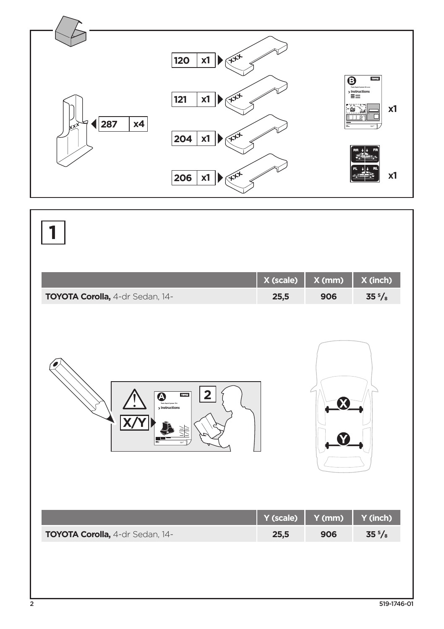

|                                                                               | X (scale) | X (mm) | X (inch)        |
|-------------------------------------------------------------------------------|-----------|--------|-----------------|
| TOYOTA Corolla, 4-dr Sedan, 14-                                               | 25,5      | 906    | $35\frac{5}{8}$ |
| $\overline{\mathbf{2}}$<br>$\overline{\mathbf{Q}}$<br>THULE<br>> Instructions |           |        |                 |
|                                                                               | Y (scale) | Y (mm) | Y (inch)        |
| TOYOTA Corolla, 4-dr Sedan, 14-                                               | 25,5      | 906    | $35\frac{5}{8}$ |
|                                                                               |           |        |                 |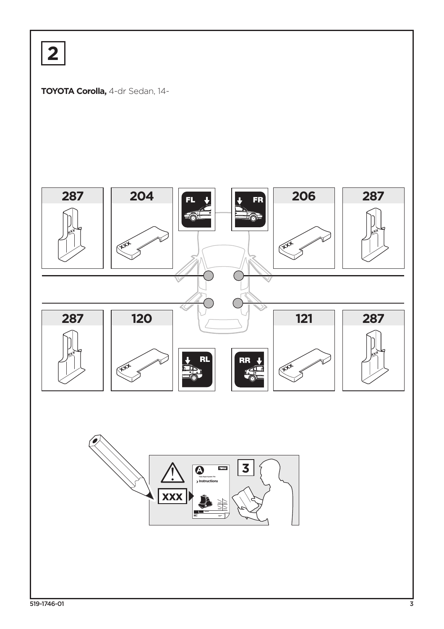